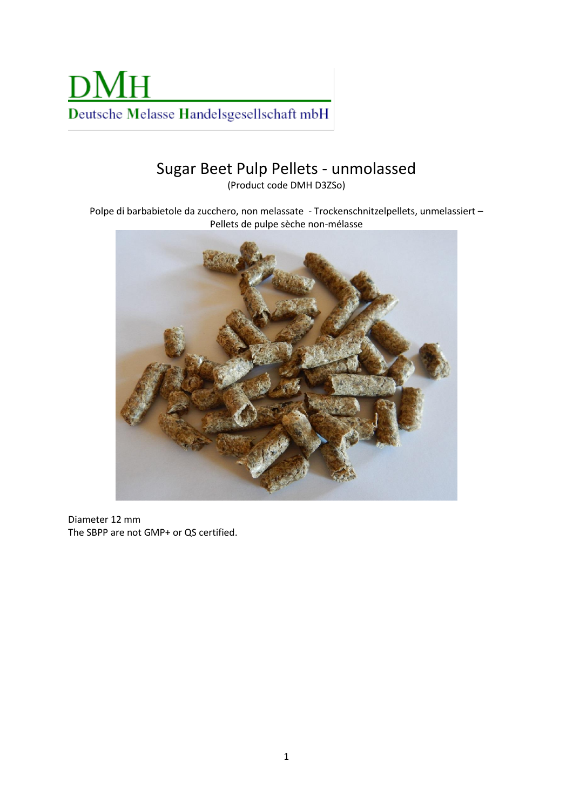

## Sugar Beet Pulp Pellets - unmolassed

(Product code DMH D3ZSo)

Polpe di barbabietole da zucchero, non melassate - Trockenschnitzelpellets, unmelassiert – Pellets de pulpe sèche non-mélasse



Diameter 12 mm The SBPP are not GMP+ or QS certified.